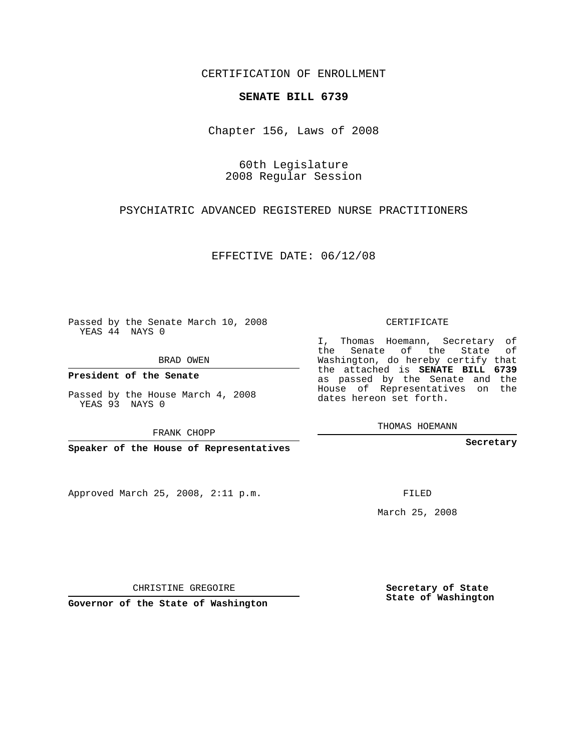CERTIFICATION OF ENROLLMENT

## **SENATE BILL 6739**

Chapter 156, Laws of 2008

60th Legislature 2008 Regular Session

PSYCHIATRIC ADVANCED REGISTERED NURSE PRACTITIONERS

EFFECTIVE DATE: 06/12/08

Passed by the Senate March 10, 2008 YEAS 44 NAYS 0

BRAD OWEN

**President of the Senate**

Passed by the House March 4, 2008 YEAS 93 NAYS 0

FRANK CHOPP

**Speaker of the House of Representatives**

Approved March 25, 2008, 2:11 p.m.

CERTIFICATE

I, Thomas Hoemann, Secretary of the Senate of the State of Washington, do hereby certify that the attached is **SENATE BILL 6739** as passed by the Senate and the House of Representatives on the dates hereon set forth.

THOMAS HOEMANN

**Secretary**

FILED

March 25, 2008

**Secretary of State State of Washington**

CHRISTINE GREGOIRE

**Governor of the State of Washington**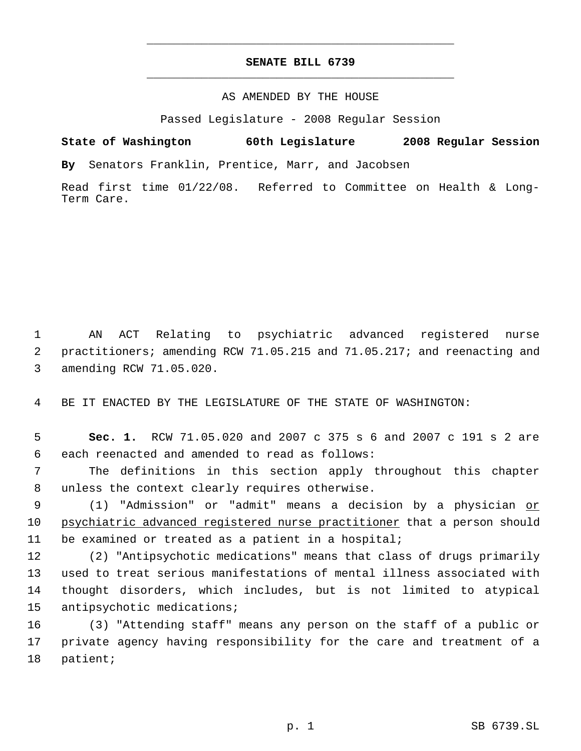## **SENATE BILL 6739** \_\_\_\_\_\_\_\_\_\_\_\_\_\_\_\_\_\_\_\_\_\_\_\_\_\_\_\_\_\_\_\_\_\_\_\_\_\_\_\_\_\_\_\_\_

\_\_\_\_\_\_\_\_\_\_\_\_\_\_\_\_\_\_\_\_\_\_\_\_\_\_\_\_\_\_\_\_\_\_\_\_\_\_\_\_\_\_\_\_\_

## AS AMENDED BY THE HOUSE

Passed Legislature - 2008 Regular Session

**State of Washington 60th Legislature 2008 Regular Session By** Senators Franklin, Prentice, Marr, and Jacobsen

Read first time 01/22/08. Referred to Committee on Health & Long-Term Care.

 AN ACT Relating to psychiatric advanced registered nurse practitioners; amending RCW 71.05.215 and 71.05.217; and reenacting and amending RCW 71.05.020.

BE IT ENACTED BY THE LEGISLATURE OF THE STATE OF WASHINGTON:

 **Sec. 1.** RCW 71.05.020 and 2007 c 375 s 6 and 2007 c 191 s 2 are each reenacted and amended to read as follows:

 The definitions in this section apply throughout this chapter unless the context clearly requires otherwise.

9 (1) "Admission" or "admit" means a decision by a physician or psychiatric advanced registered nurse practitioner that a person should be examined or treated as a patient in a hospital;

 (2) "Antipsychotic medications" means that class of drugs primarily used to treat serious manifestations of mental illness associated with thought disorders, which includes, but is not limited to atypical antipsychotic medications;

 (3) "Attending staff" means any person on the staff of a public or private agency having responsibility for the care and treatment of a patient;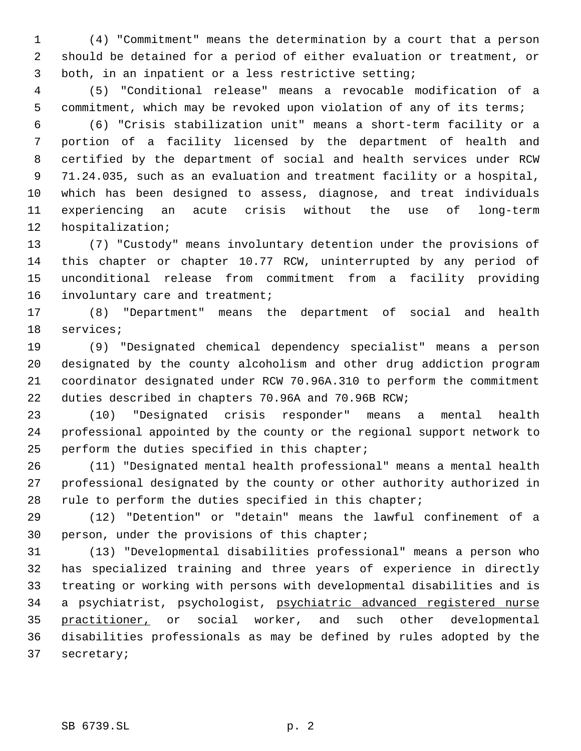(4) "Commitment" means the determination by a court that a person should be detained for a period of either evaluation or treatment, or both, in an inpatient or a less restrictive setting;

 (5) "Conditional release" means a revocable modification of a commitment, which may be revoked upon violation of any of its terms;

 (6) "Crisis stabilization unit" means a short-term facility or a portion of a facility licensed by the department of health and certified by the department of social and health services under RCW 71.24.035, such as an evaluation and treatment facility or a hospital, which has been designed to assess, diagnose, and treat individuals experiencing an acute crisis without the use of long-term hospitalization;

 (7) "Custody" means involuntary detention under the provisions of this chapter or chapter 10.77 RCW, uninterrupted by any period of unconditional release from commitment from a facility providing 16 involuntary care and treatment;

 (8) "Department" means the department of social and health services;

 (9) "Designated chemical dependency specialist" means a person designated by the county alcoholism and other drug addiction program coordinator designated under RCW 70.96A.310 to perform the commitment duties described in chapters 70.96A and 70.96B RCW;

 (10) "Designated crisis responder" means a mental health professional appointed by the county or the regional support network to perform the duties specified in this chapter;

 (11) "Designated mental health professional" means a mental health professional designated by the county or other authority authorized in 28 rule to perform the duties specified in this chapter;

 (12) "Detention" or "detain" means the lawful confinement of a person, under the provisions of this chapter;

 (13) "Developmental disabilities professional" means a person who has specialized training and three years of experience in directly treating or working with persons with developmental disabilities and is a psychiatrist, psychologist, psychiatric advanced registered nurse 35 practitioner, or social worker, and such other developmental disabilities professionals as may be defined by rules adopted by the secretary;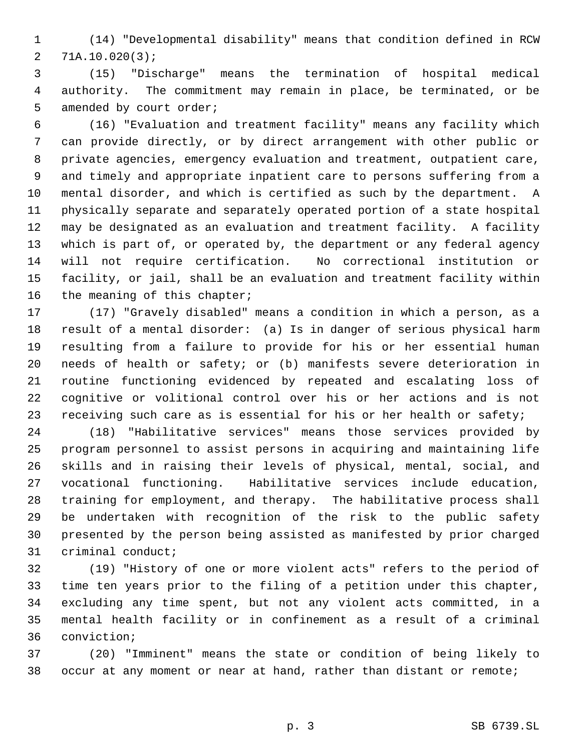(14) "Developmental disability" means that condition defined in RCW 71A.10.020(3);

 (15) "Discharge" means the termination of hospital medical authority. The commitment may remain in place, be terminated, or be 5 amended by court order;

 (16) "Evaluation and treatment facility" means any facility which can provide directly, or by direct arrangement with other public or private agencies, emergency evaluation and treatment, outpatient care, and timely and appropriate inpatient care to persons suffering from a mental disorder, and which is certified as such by the department. A physically separate and separately operated portion of a state hospital may be designated as an evaluation and treatment facility. A facility which is part of, or operated by, the department or any federal agency will not require certification. No correctional institution or facility, or jail, shall be an evaluation and treatment facility within the meaning of this chapter;

 (17) "Gravely disabled" means a condition in which a person, as a result of a mental disorder: (a) Is in danger of serious physical harm resulting from a failure to provide for his or her essential human needs of health or safety; or (b) manifests severe deterioration in routine functioning evidenced by repeated and escalating loss of cognitive or volitional control over his or her actions and is not 23 receiving such care as is essential for his or her health or safety;

 (18) "Habilitative services" means those services provided by program personnel to assist persons in acquiring and maintaining life skills and in raising their levels of physical, mental, social, and vocational functioning. Habilitative services include education, training for employment, and therapy. The habilitative process shall be undertaken with recognition of the risk to the public safety presented by the person being assisted as manifested by prior charged criminal conduct;

 (19) "History of one or more violent acts" refers to the period of time ten years prior to the filing of a petition under this chapter, excluding any time spent, but not any violent acts committed, in a mental health facility or in confinement as a result of a criminal conviction;

 (20) "Imminent" means the state or condition of being likely to occur at any moment or near at hand, rather than distant or remote;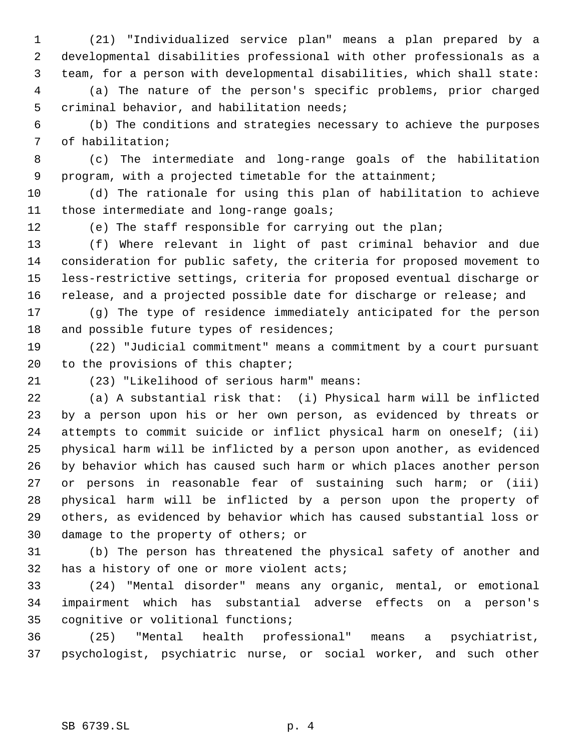(21) "Individualized service plan" means a plan prepared by a developmental disabilities professional with other professionals as a team, for a person with developmental disabilities, which shall state: (a) The nature of the person's specific problems, prior charged

criminal behavior, and habilitation needs;

 (b) The conditions and strategies necessary to achieve the purposes of habilitation;

 (c) The intermediate and long-range goals of the habilitation program, with a projected timetable for the attainment;

 (d) The rationale for using this plan of habilitation to achieve those intermediate and long-range goals;

(e) The staff responsible for carrying out the plan;

 (f) Where relevant in light of past criminal behavior and due consideration for public safety, the criteria for proposed movement to less-restrictive settings, criteria for proposed eventual discharge or release, and a projected possible date for discharge or release; and

 (g) The type of residence immediately anticipated for the person 18 and possible future types of residences;

 (22) "Judicial commitment" means a commitment by a court pursuant 20 to the provisions of this chapter;

(23) "Likelihood of serious harm" means:

 (a) A substantial risk that: (i) Physical harm will be inflicted by a person upon his or her own person, as evidenced by threats or attempts to commit suicide or inflict physical harm on oneself; (ii) physical harm will be inflicted by a person upon another, as evidenced by behavior which has caused such harm or which places another person or persons in reasonable fear of sustaining such harm; or (iii) physical harm will be inflicted by a person upon the property of others, as evidenced by behavior which has caused substantial loss or damage to the property of others; or

 (b) The person has threatened the physical safety of another and has a history of one or more violent acts;

 (24) "Mental disorder" means any organic, mental, or emotional impairment which has substantial adverse effects on a person's cognitive or volitional functions;

 (25) "Mental health professional" means a psychiatrist, psychologist, psychiatric nurse, or social worker, and such other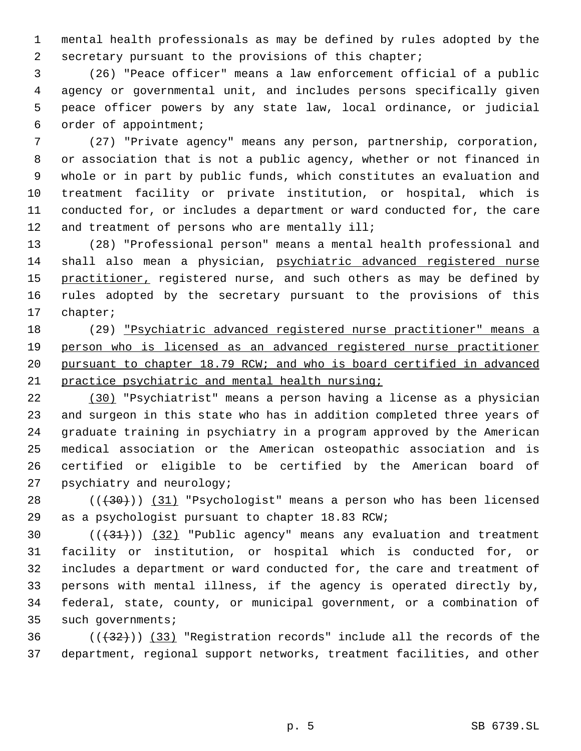mental health professionals as may be defined by rules adopted by the secretary pursuant to the provisions of this chapter;

 (26) "Peace officer" means a law enforcement official of a public agency or governmental unit, and includes persons specifically given peace officer powers by any state law, local ordinance, or judicial order of appointment;

 (27) "Private agency" means any person, partnership, corporation, or association that is not a public agency, whether or not financed in whole or in part by public funds, which constitutes an evaluation and treatment facility or private institution, or hospital, which is conducted for, or includes a department or ward conducted for, the care 12 and treatment of persons who are mentally ill;

 (28) "Professional person" means a mental health professional and shall also mean a physician, psychiatric advanced registered nurse 15 practitioner, registered nurse, and such others as may be defined by rules adopted by the secretary pursuant to the provisions of this chapter;

 (29) "Psychiatric advanced registered nurse practitioner" means a person who is licensed as an advanced registered nurse practitioner pursuant to chapter 18.79 RCW; and who is board certified in advanced practice psychiatric and mental health nursing;

 (30) "Psychiatrist" means a person having a license as a physician and surgeon in this state who has in addition completed three years of graduate training in psychiatry in a program approved by the American medical association or the American osteopathic association and is certified or eligible to be certified by the American board of psychiatry and neurology;

 $((+30))$   $(31)$  "Psychologist" means a person who has been licensed as a psychologist pursuant to chapter 18.83 RCW;

 $((+31))$   $(32)$  "Public agency" means any evaluation and treatment facility or institution, or hospital which is conducted for, or includes a department or ward conducted for, the care and treatment of persons with mental illness, if the agency is operated directly by, federal, state, county, or municipal government, or a combination of such governments;

36  $((+32))$  (33) "Registration records" include all the records of the department, regional support networks, treatment facilities, and other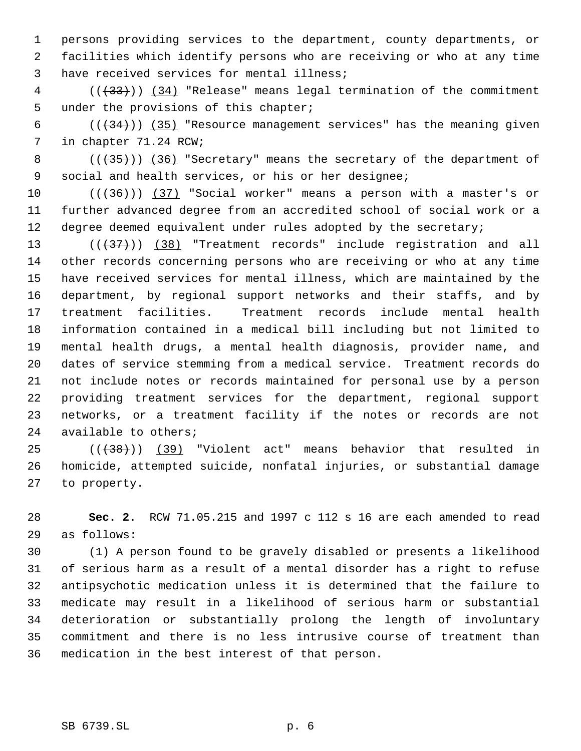persons providing services to the department, county departments, or facilities which identify persons who are receiving or who at any time have received services for mental illness;

4 (( $(33)$ )) (34) "Release" means legal termination of the commitment under the provisions of this chapter;

6 ( $(\frac{134}{})$ ) (35) "Resource management services" has the meaning given in chapter 71.24 RCW;

8 (( $\left(\frac{35}{10}\right)$ ) (36) "Secretary" means the secretary of the department of social and health services, or his or her designee;

 $((+36))$  (37) "Social worker" means a person with a master's or further advanced degree from an accredited school of social work or a degree deemed equivalent under rules adopted by the secretary;

13 (((437))) (38) "Treatment records" include registration and all other records concerning persons who are receiving or who at any time have received services for mental illness, which are maintained by the department, by regional support networks and their staffs, and by treatment facilities. Treatment records include mental health information contained in a medical bill including but not limited to mental health drugs, a mental health diagnosis, provider name, and dates of service stemming from a medical service. Treatment records do not include notes or records maintained for personal use by a person providing treatment services for the department, regional support networks, or a treatment facility if the notes or records are not available to others;

 $((+38))$  (39) "Violent act" means behavior that resulted in homicide, attempted suicide, nonfatal injuries, or substantial damage to property.

 **Sec. 2.** RCW 71.05.215 and 1997 c 112 s 16 are each amended to read as follows:

 (1) A person found to be gravely disabled or presents a likelihood of serious harm as a result of a mental disorder has a right to refuse antipsychotic medication unless it is determined that the failure to medicate may result in a likelihood of serious harm or substantial deterioration or substantially prolong the length of involuntary commitment and there is no less intrusive course of treatment than medication in the best interest of that person.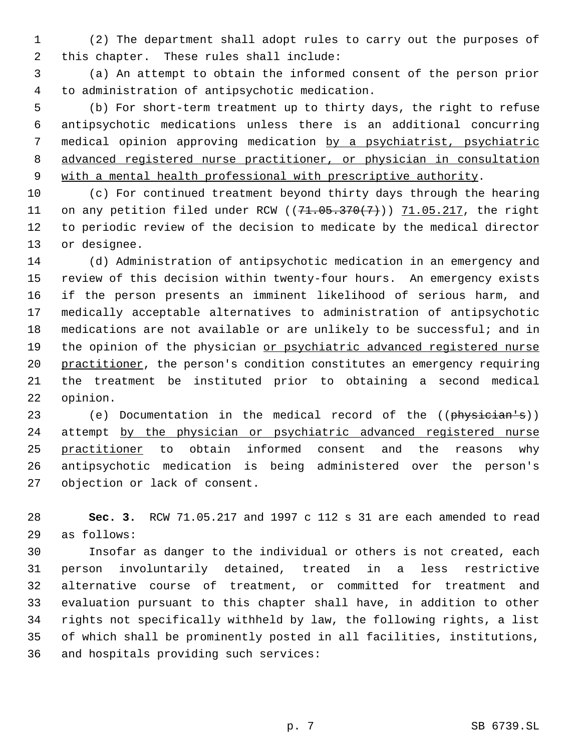(2) The department shall adopt rules to carry out the purposes of this chapter. These rules shall include:

 (a) An attempt to obtain the informed consent of the person prior to administration of antipsychotic medication.

 (b) For short-term treatment up to thirty days, the right to refuse antipsychotic medications unless there is an additional concurring medical opinion approving medication by a psychiatrist, psychiatric advanced registered nurse practitioner, or physician in consultation 9 with a mental health professional with prescriptive authority.

 (c) For continued treatment beyond thirty days through the hearing 11 on any petition filed under RCW ((71.05.370(7))) 71.05.217, the right to periodic review of the decision to medicate by the medical director or designee.

 (d) Administration of antipsychotic medication in an emergency and review of this decision within twenty-four hours. An emergency exists if the person presents an imminent likelihood of serious harm, and medically acceptable alternatives to administration of antipsychotic medications are not available or are unlikely to be successful; and in 19 the opinion of the physician or psychiatric advanced registered nurse 20 practitioner, the person's condition constitutes an emergency requiring the treatment be instituted prior to obtaining a second medical opinion.

23 (e) Documentation in the medical record of the ((physician's)) 24 attempt by the physician or psychiatric advanced registered nurse practitioner to obtain informed consent and the reasons why antipsychotic medication is being administered over the person's objection or lack of consent.

 **Sec. 3.** RCW 71.05.217 and 1997 c 112 s 31 are each amended to read as follows:

 Insofar as danger to the individual or others is not created, each person involuntarily detained, treated in a less restrictive alternative course of treatment, or committed for treatment and evaluation pursuant to this chapter shall have, in addition to other rights not specifically withheld by law, the following rights, a list of which shall be prominently posted in all facilities, institutions, and hospitals providing such services: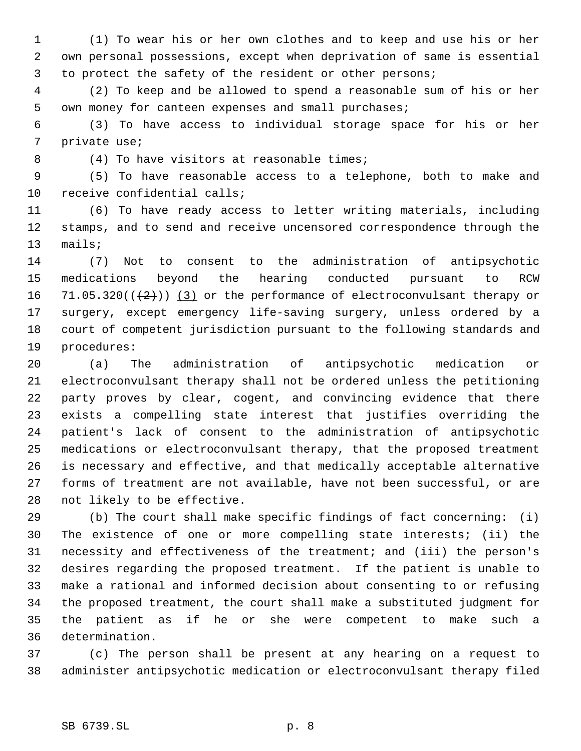(1) To wear his or her own clothes and to keep and use his or her own personal possessions, except when deprivation of same is essential to protect the safety of the resident or other persons;

 (2) To keep and be allowed to spend a reasonable sum of his or her own money for canteen expenses and small purchases;

 (3) To have access to individual storage space for his or her private use;

8 (4) To have visitors at reasonable times;

 (5) To have reasonable access to a telephone, both to make and receive confidential calls;

 (6) To have ready access to letter writing materials, including stamps, and to send and receive uncensored correspondence through the mails;

 (7) Not to consent to the administration of antipsychotic medications beyond the hearing conducted pursuant to RCW 16 71.05.320( $(\frac{2}{2})$ ) (3) or the performance of electroconvulsant therapy or surgery, except emergency life-saving surgery, unless ordered by a court of competent jurisdiction pursuant to the following standards and procedures:

 (a) The administration of antipsychotic medication or electroconvulsant therapy shall not be ordered unless the petitioning party proves by clear, cogent, and convincing evidence that there exists a compelling state interest that justifies overriding the patient's lack of consent to the administration of antipsychotic medications or electroconvulsant therapy, that the proposed treatment is necessary and effective, and that medically acceptable alternative forms of treatment are not available, have not been successful, or are not likely to be effective.

 (b) The court shall make specific findings of fact concerning: (i) The existence of one or more compelling state interests; (ii) the necessity and effectiveness of the treatment; and (iii) the person's desires regarding the proposed treatment. If the patient is unable to make a rational and informed decision about consenting to or refusing the proposed treatment, the court shall make a substituted judgment for the patient as if he or she were competent to make such a determination.

 (c) The person shall be present at any hearing on a request to administer antipsychotic medication or electroconvulsant therapy filed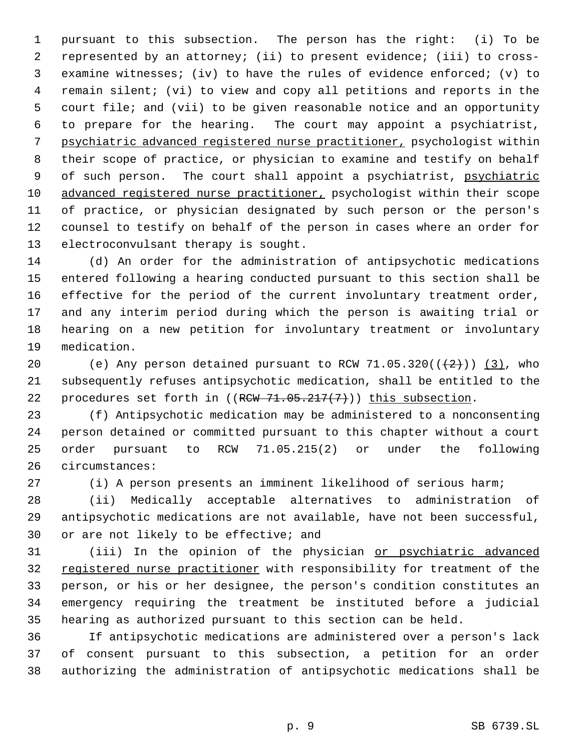pursuant to this subsection. The person has the right: (i) To be represented by an attorney; (ii) to present evidence; (iii) to cross- examine witnesses; (iv) to have the rules of evidence enforced; (v) to remain silent; (vi) to view and copy all petitions and reports in the court file; and (vii) to be given reasonable notice and an opportunity to prepare for the hearing. The court may appoint a psychiatrist, psychiatric advanced registered nurse practitioner, psychologist within their scope of practice, or physician to examine and testify on behalf 9 of such person. The court shall appoint a psychiatrist, psychiatric 10 advanced registered nurse practitioner, psychologist within their scope of practice, or physician designated by such person or the person's counsel to testify on behalf of the person in cases where an order for electroconvulsant therapy is sought.

 (d) An order for the administration of antipsychotic medications entered following a hearing conducted pursuant to this section shall be effective for the period of the current involuntary treatment order, and any interim period during which the person is awaiting trial or hearing on a new petition for involuntary treatment or involuntary medication.

20 (e) Any person detained pursuant to RCW 71.05.320( $(\frac{2}{2})$ ) (3), who subsequently refuses antipsychotic medication, shall be entitled to the 22 procedures set forth in  $((RCW 71.05.217(7)))$  this subsection.

 (f) Antipsychotic medication may be administered to a nonconsenting person detained or committed pursuant to this chapter without a court order pursuant to RCW 71.05.215(2) or under the following circumstances:

(i) A person presents an imminent likelihood of serious harm;

 (ii) Medically acceptable alternatives to administration of antipsychotic medications are not available, have not been successful, or are not likely to be effective; and

 (iii) In the opinion of the physician or psychiatric advanced 32 registered nurse practitioner with responsibility for treatment of the person, or his or her designee, the person's condition constitutes an emergency requiring the treatment be instituted before a judicial hearing as authorized pursuant to this section can be held.

 If antipsychotic medications are administered over a person's lack of consent pursuant to this subsection, a petition for an order authorizing the administration of antipsychotic medications shall be